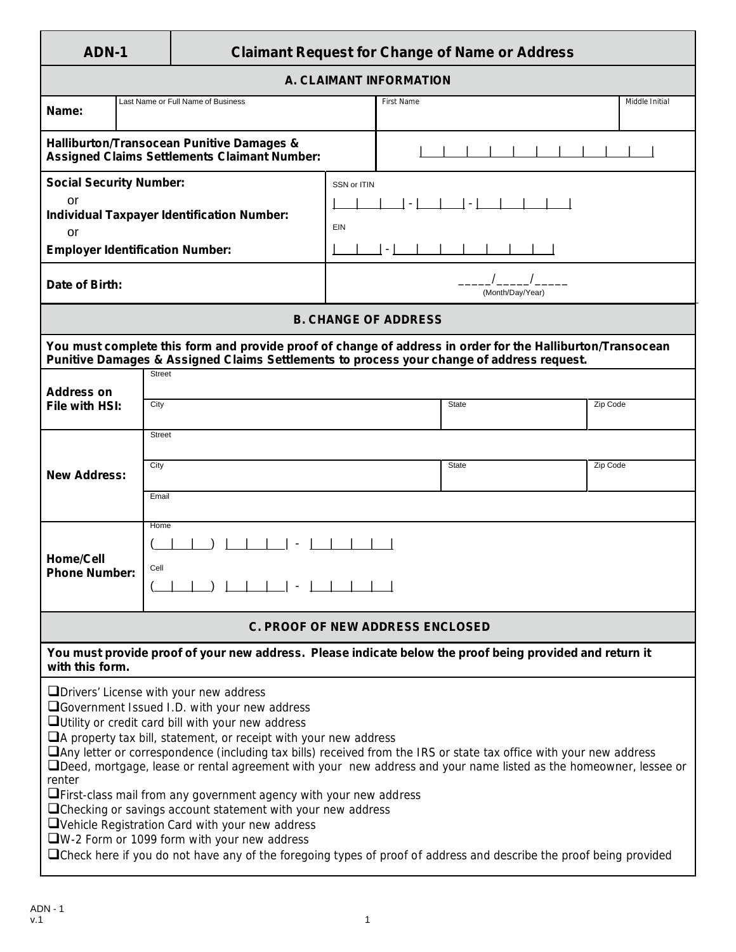## **ADN-1 Claimant Request for Change of Name or Address**

|                                                         |                                                                                                                                                                                                                                                                                                                                                                                                                                                                                                                                                                                                                                                                                                                                                                                                                                                                                                 |             |                             | m                |                |  |
|---------------------------------------------------------|-------------------------------------------------------------------------------------------------------------------------------------------------------------------------------------------------------------------------------------------------------------------------------------------------------------------------------------------------------------------------------------------------------------------------------------------------------------------------------------------------------------------------------------------------------------------------------------------------------------------------------------------------------------------------------------------------------------------------------------------------------------------------------------------------------------------------------------------------------------------------------------------------|-------------|-----------------------------|------------------|----------------|--|
|                                                         |                                                                                                                                                                                                                                                                                                                                                                                                                                                                                                                                                                                                                                                                                                                                                                                                                                                                                                 |             | A. CLAIMANT INFORMATION     |                  |                |  |
| Name:                                                   | Last Name or Full Name of Business                                                                                                                                                                                                                                                                                                                                                                                                                                                                                                                                                                                                                                                                                                                                                                                                                                                              |             | <b>First Name</b>           |                  | Middle Initial |  |
|                                                         | Halliburton/Transocean Punitive Damages &<br><b>Assigned Claims Settlements Claimant Number:</b>                                                                                                                                                                                                                                                                                                                                                                                                                                                                                                                                                                                                                                                                                                                                                                                                |             |                             |                  |                |  |
| <b>Social Security Number:</b><br>or                    |                                                                                                                                                                                                                                                                                                                                                                                                                                                                                                                                                                                                                                                                                                                                                                                                                                                                                                 | SSN or ITIN | $\sim$                      | $\sim$           |                |  |
| <b>Individual Taxpayer Identification Number:</b><br>or |                                                                                                                                                                                                                                                                                                                                                                                                                                                                                                                                                                                                                                                                                                                                                                                                                                                                                                 | EIN         |                             |                  |                |  |
| <b>Employer Identification Number:</b>                  |                                                                                                                                                                                                                                                                                                                                                                                                                                                                                                                                                                                                                                                                                                                                                                                                                                                                                                 |             | $\overline{\phantom{a}}$    |                  |                |  |
| Date of Birth:                                          |                                                                                                                                                                                                                                                                                                                                                                                                                                                                                                                                                                                                                                                                                                                                                                                                                                                                                                 |             |                             | (Month/Day/Year) |                |  |
|                                                         |                                                                                                                                                                                                                                                                                                                                                                                                                                                                                                                                                                                                                                                                                                                                                                                                                                                                                                 |             | <b>B. CHANGE OF ADDRESS</b> |                  |                |  |
|                                                         | You must complete this form and provide proof of change of address in order for the Halliburton/Transocean<br>Punitive Damages & Assigned Claims Settlements to process your change of address request.                                                                                                                                                                                                                                                                                                                                                                                                                                                                                                                                                                                                                                                                                         |             |                             |                  |                |  |
| <b>Address on</b>                                       | <b>Street</b>                                                                                                                                                                                                                                                                                                                                                                                                                                                                                                                                                                                                                                                                                                                                                                                                                                                                                   |             |                             |                  |                |  |
| File with HSI:                                          | City                                                                                                                                                                                                                                                                                                                                                                                                                                                                                                                                                                                                                                                                                                                                                                                                                                                                                            |             |                             | <b>State</b>     | Zip Code       |  |
|                                                         | <b>Street</b>                                                                                                                                                                                                                                                                                                                                                                                                                                                                                                                                                                                                                                                                                                                                                                                                                                                                                   |             |                             |                  |                |  |
| <b>New Address:</b>                                     | City                                                                                                                                                                                                                                                                                                                                                                                                                                                                                                                                                                                                                                                                                                                                                                                                                                                                                            |             |                             | <b>State</b>     | Zip Code       |  |
|                                                         | Email                                                                                                                                                                                                                                                                                                                                                                                                                                                                                                                                                                                                                                                                                                                                                                                                                                                                                           |             |                             |                  |                |  |
|                                                         | Home                                                                                                                                                                                                                                                                                                                                                                                                                                                                                                                                                                                                                                                                                                                                                                                                                                                                                            |             |                             |                  |                |  |
| <b>Home/Cell</b><br><b>Phone Number:</b>                | Cell                                                                                                                                                                                                                                                                                                                                                                                                                                                                                                                                                                                                                                                                                                                                                                                                                                                                                            |             |                             |                  |                |  |
|                                                         |                                                                                                                                                                                                                                                                                                                                                                                                                                                                                                                                                                                                                                                                                                                                                                                                                                                                                                 |             |                             |                  |                |  |
|                                                         | <b>C. PROOF OF NEW ADDRESS ENCLOSED</b>                                                                                                                                                                                                                                                                                                                                                                                                                                                                                                                                                                                                                                                                                                                                                                                                                                                         |             |                             |                  |                |  |
| with this form.                                         | You must provide proof of your new address. Please indicate below the proof being provided and return it                                                                                                                                                                                                                                                                                                                                                                                                                                                                                                                                                                                                                                                                                                                                                                                        |             |                             |                  |                |  |
| renter                                                  | $\Box$ Drivers' License with your new address<br><b>a</b> Government Issued I.D. with your new address<br>$\Box$ Utility or credit card bill with your new address<br>$\Box$ A property tax bill, statement, or receipt with your new address<br>$\square$ Any letter or correspondence (including tax bills) received from the IRS or state tax office with your new address<br>□Deed, mortgage, lease or rental agreement with your new address and your name listed as the homeowner, lessee or<br>$\Box$ First-class mail from any government agency with your new address<br>$\Box$ Checking or savings account statement with your new address<br>$\Box$ Vehicle Registration Card with your new address<br>$\square$ W-2 Form or 1099 form with your new address<br>□ Check here if you do not have any of the foregoing types of proof of address and describe the proof being provided |             |                             |                  |                |  |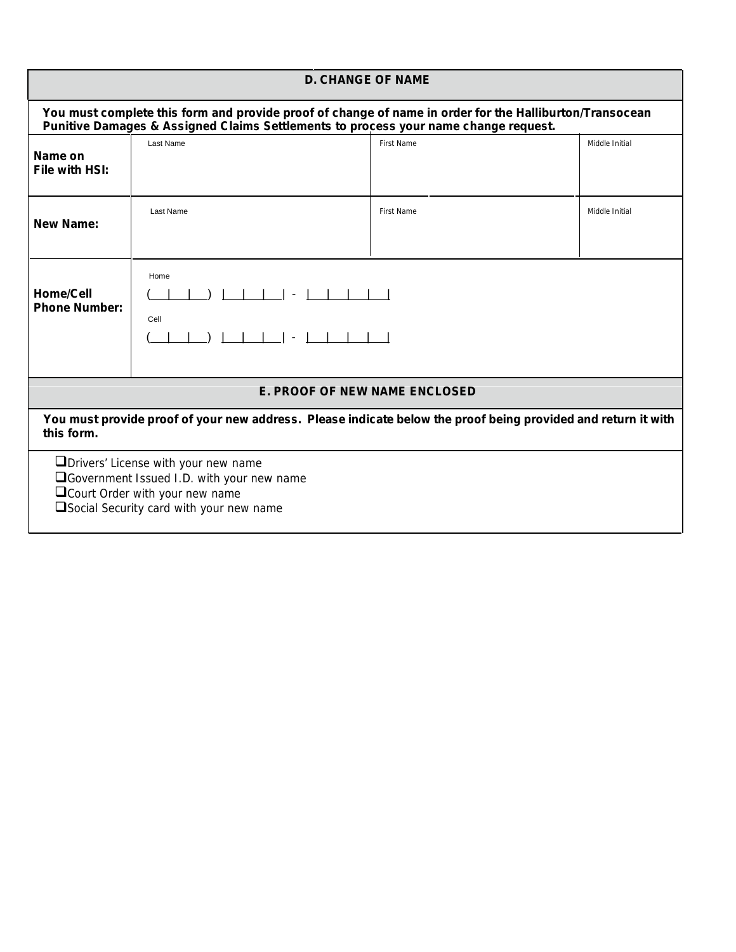|                                                                                                                                                                                                |                                                                                                                                                                                 | <b>D. CHANGE OF NAME</b>                                                                                      |                |  |  |
|------------------------------------------------------------------------------------------------------------------------------------------------------------------------------------------------|---------------------------------------------------------------------------------------------------------------------------------------------------------------------------------|---------------------------------------------------------------------------------------------------------------|----------------|--|--|
| You must complete this form and provide proof of change of name in order for the Halliburton/Transocean<br>Punitive Damages & Assigned Claims Settlements to process your name change request. |                                                                                                                                                                                 |                                                                                                               |                |  |  |
| Name on<br>File with HSI:                                                                                                                                                                      | Last Name                                                                                                                                                                       | First Name                                                                                                    | Middle Initial |  |  |
| <b>New Name:</b>                                                                                                                                                                               | Last Name                                                                                                                                                                       | First Name                                                                                                    | Middle Initial |  |  |
| <b>Home/Cell</b><br><b>Phone Number:</b>                                                                                                                                                       | Home<br>Cell<br>$\sim$                                                                                                                                                          |                                                                                                               |                |  |  |
|                                                                                                                                                                                                |                                                                                                                                                                                 | <b>E. PROOF OF NEW NAME ENCLOSED</b>                                                                          |                |  |  |
| this form.                                                                                                                                                                                     |                                                                                                                                                                                 | You must provide proof of your new address. Please indicate below the proof being provided and return it with |                |  |  |
|                                                                                                                                                                                                | <b>ID</b> Drivers' License with your new name<br>□Government Issued I.D. with your new name<br>$\Box$ Court Order with your new name<br>Social Security card with your new name |                                                                                                               |                |  |  |